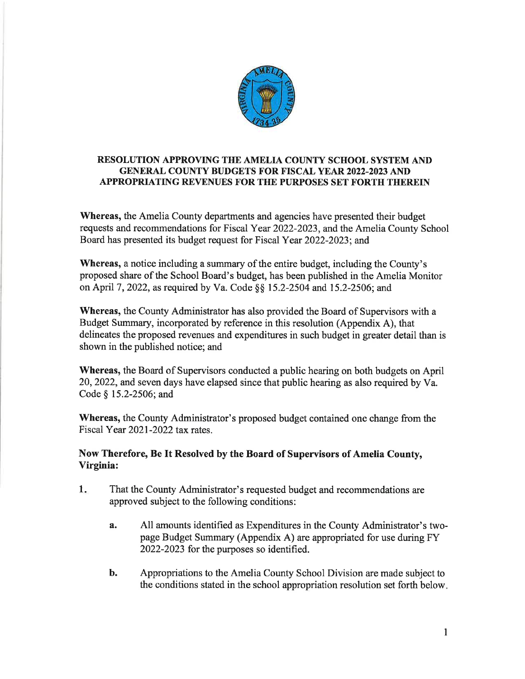

### RESOLUTION APPROVING THE AMELIA COUNTY SCHOOL SYSTEM AND **GENERAL COUNTY BUDGETS FOR FISCAL YEAR 2022-2023 AND** APPROPRIATING REVENUES FOR THE PURPOSES SET FORTH THEREIN

Whereas, the Amelia County departments and agencies have presented their budget requests and recommendations for Fiscal Year 2022-2023, and the Amelia County School Board has presented its budget request for Fiscal Year 2022-2023; and

**Whereas,** a notice including a summary of the entire budget, including the County's proposed share of the School Board's budget, has been published in the Amelia Monitor on April 7, 2022, as required by Va. Code §§ 15.2-2504 and 15.2-2506; and

Whereas, the County Administrator has also provided the Board of Supervisors with a Budget Summary, incorporated by reference in this resolution (Appendix A), that delineates the proposed revenues and expenditures in such budget in greater detail than is shown in the published notice; and

**Whereas, the Board of Supervisors conducted a public hearing on both budgets on April** 20, 2022, and seven days have elapsed since that public hearing as also required by Va. Code § 15.2-2506; and

**Whereas, the County Administrator's proposed budget contained one change from the** Fiscal Year 2021-2022 tax rates.

# Now Therefore, Be It Resolved by the Board of Supervisors of Amelia County, Virginia:

- $1.$ That the County Administrator's requested budget and recommendations are approved subject to the following conditions:
	- $a<sub>1</sub>$ All amounts identified as Expenditures in the County Administrator's twopage Budget Summary (Appendix A) are appropriated for use during FY 2022-2023 for the purposes so identified.
	- $\mathbf{b}$ . Appropriations to the Amelia County School Division are made subject to the conditions stated in the school appropriation resolution set forth below.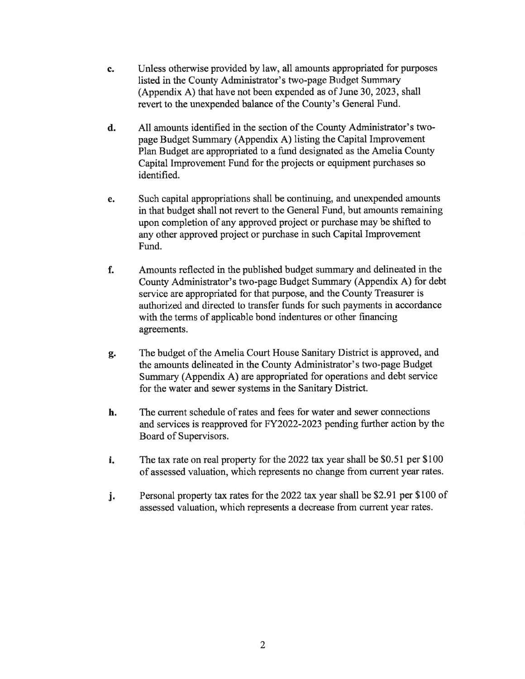- Unless otherwise provided by law, all amounts appropriated for purposes  $\mathbf{c}$ . listed in the County Administrator's two-page Budget Summary (Appendix A) that have not been expended as of June 30, 2023, shall revert to the unexpended balance of the County's General Fund.
- All amounts identified in the section of the County Administrator's two- $\mathbf{d}$ . page Budget Summary (Appendix A) listing the Capital Improvement Plan Budget are appropriated to a fund designated as the Amelia County Capital Improvement Fund for the projects or equipment purchases so identified.
- Such capital appropriations shall be continuing, and unexpended amounts e. in that budget shall not revert to the General Fund, but amounts remaining upon completion of any approved project or purchase may be shifted to any other approved project or purchase in such Capital Improvement Fund.
- f. Amounts reflected in the published budget summary and delineated in the County Administrator's two-page Budget Summary (Appendix A) for debt service are appropriated for that purpose, and the County Treasurer is authorized and directed to transfer funds for such payments in accordance with the terms of applicable bond indentures or other financing agreements.
- The budget of the Amelia Court House Sanitary District is approved, and g. the amounts delineated in the County Administrator's two-page Budget Summary (Appendix A) are appropriated for operations and debt service for the water and sewer systems in the Sanitary District.
- The current schedule of rates and fees for water and sewer connections h. and services is reapproved for FY2022-2023 pending further action by the Board of Supervisors.
- The tax rate on real property for the 2022 tax year shall be \$0.51 per \$100 i. of assessed valuation, which represents no change from current year rates.
- Personal property tax rates for the 2022 tax year shall be \$2.91 per \$100 of j. assessed valuation, which represents a decrease from current year rates.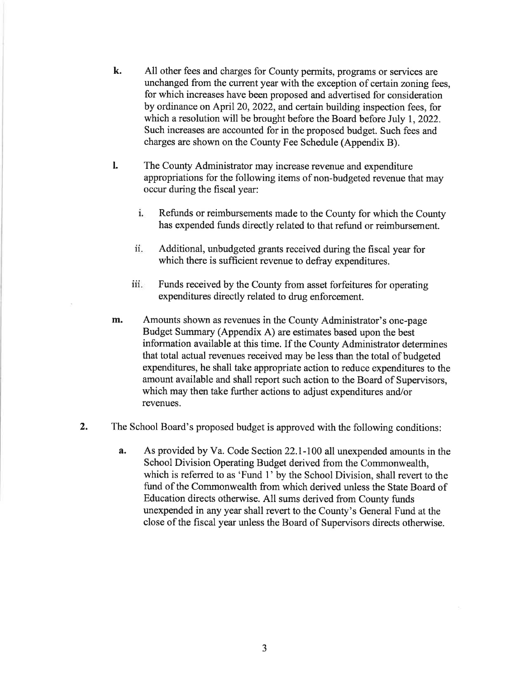- k. All other fees and charges for County permits, programs or services are unchanged from the current year with the exception of certain zoning fees. for which increases have been proposed and advertised for consideration by ordinance on April 20, 2022, and certain building inspection fees, for which a resolution will be brought before the Board before July 1, 2022. Such increases are accounted for in the proposed budget. Such fees and charges are shown on the County Fee Schedule (Appendix B).
- $\mathbf{l}$ . The County Administrator may increase revenue and expenditure appropriations for the following items of non-budgeted revenue that may occur during the fiscal year:
	- i. Refunds or reimbursements made to the County for which the County has expended funds directly related to that refund or reimbursement.
	- ii. Additional, unbudgeted grants received during the fiscal year for which there is sufficient revenue to defray expenditures.
	- iii. Funds received by the County from asset for feitures for operating expenditures directly related to drug enforcement.
- m. Amounts shown as revenues in the County Administrator's one-page Budget Summary (Appendix A) are estimates based upon the best information available at this time. If the County Administrator determines that total actual revenues received may be less than the total of budgeted expenditures, he shall take appropriate action to reduce expenditures to the amount available and shall report such action to the Board of Supervisors. which may then take further actions to adjust expenditures and/or revenues.
- $2.$ The School Board's proposed budget is approved with the following conditions:
	- As provided by Va. Code Section 22.1-100 all unexpended amounts in the a. School Division Operating Budget derived from the Commonwealth, which is referred to as 'Fund 1' by the School Division, shall revert to the fund of the Commonwealth from which derived unless the State Board of Education directs otherwise. All sums derived from County funds unexpended in any year shall revert to the County's General Fund at the close of the fiscal year unless the Board of Supervisors directs otherwise.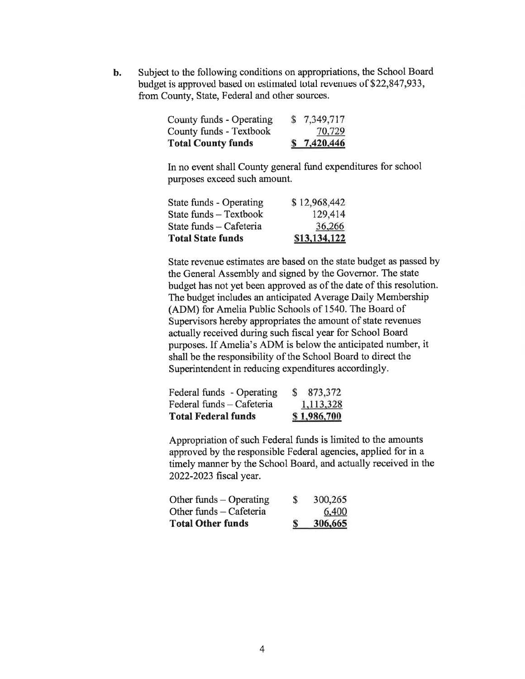Subject to the following conditions on appropriations, the School Board  $\mathbf{b}$ . budget is approved based on estimated total revenues of \$22,847,933, from County, State, Federal and other sources.

| County funds - Operating  | \$7,349,717 |
|---------------------------|-------------|
| County funds - Textbook   | 70,729      |
| <b>Total County funds</b> | \$7,420,446 |

In no event shall County general fund expenditures for school purposes exceed such amount.

| <b>State funds - Operating</b> | \$12,968,442 |
|--------------------------------|--------------|
| State funds – Textbook         | 129,414      |
| State funds – Cafeteria        | 36,266       |
| <b>Total State funds</b>       | \$13,134,122 |

State revenue estimates are based on the state budget as passed by the General Assembly and signed by the Governor. The state budget has not yet been approved as of the date of this resolution. The budget includes an anticipated Average Daily Membership (ADM) for Amelia Public Schools of 1540. The Board of Supervisors hereby appropriates the amount of state revenues actually received during such fiscal year for School Board purposes. If Amelia's ADM is below the anticipated number, it shall be the responsibility of the School Board to direct the Superintendent in reducing expenditures accordingly.

| <b>Total Federal funds</b> | \$1,986,700   |
|----------------------------|---------------|
| Federal funds – Cafeteria  | 1,113,328     |
| Federal funds - Operating  | 873,372<br>S. |

Appropriation of such Federal funds is limited to the amounts approved by the responsible Federal agencies, applied for in a timely manner by the School Board, and actually received in the 2022-2023 fiscal year.

| Other funds $-$ Operating | S | 300,265 |
|---------------------------|---|---------|
| Other funds – Cafeteria   |   | 6,400   |
| <b>Total Other funds</b>  |   | 306,665 |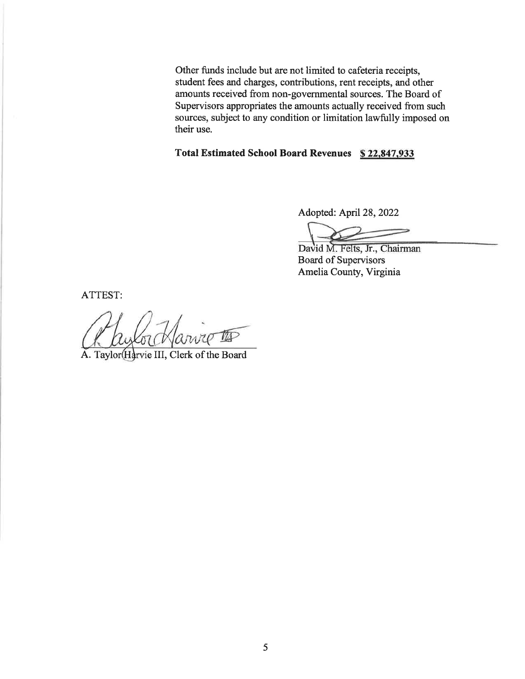Other funds include but are not limited to cafeteria receipts, student fees and charges, contributions, rent receipts, and other amounts received from non-governmental sources. The Board of Supervisors appropriates the amounts actually received from such sources, subject to any condition or limitation lawfully imposed on their use.

## Total Estimated School Board Revenues \$22,847,933

Adopted: April 28, 2022

David M. Felts, Jr., Chairman **Board of Supervisors** Amelia County, Virginia

ATTEST:

A. Taylor(Harvie III, Clerk of the Board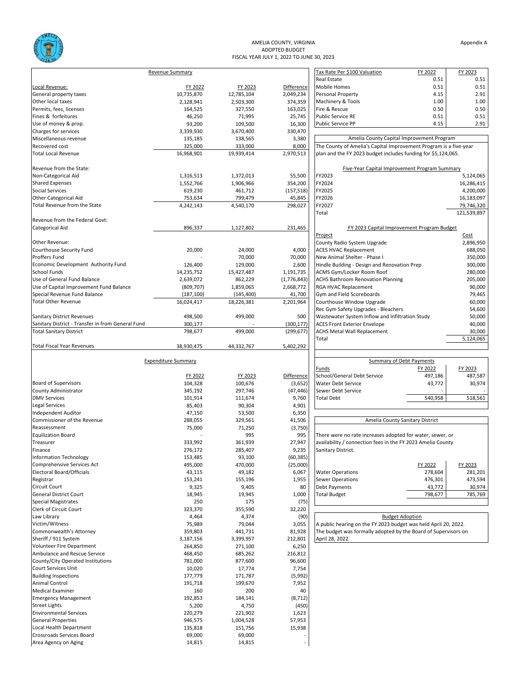#### AMELIA COUNTY, VIRGINIA AND A COUNTY AND A COUNTY AND A COUNTY AND A COUNTY AND A COUNTY AND A COUNTY AND A COUNTY A ADOPTED BUDGET FISCAL YEAR JULY 1, 2022 TO JUNE 30, 2023

|                                                           | Revenue Summary            |                         |                     | Tax Rate Per \$100 Valuation                                      | FY 2022                         | FY 2023           |
|-----------------------------------------------------------|----------------------------|-------------------------|---------------------|-------------------------------------------------------------------|---------------------------------|-------------------|
|                                                           |                            |                         |                     | Real Estate                                                       | 0.51                            | 0.51              |
| Local Revenue:                                            | FY 2022                    | FY 2023                 | Difference          | <b>Mobile Homes</b>                                               | 0.51                            | 0.51              |
| General property taxes                                    | 10,735,870                 | 12,785,104              | 2,049,234           | Personal Property                                                 | 4.15                            | 2.91              |
| Other local taxes                                         | 2,128,941                  | 2,503,300               | 374,359             | Machinery & Tools                                                 | 1.00                            | 1.00              |
| Permits, fees, licenses                                   | 164,525                    | 327,550                 | 163,025             | Fire & Rescue                                                     | 0.50                            | 0.50              |
| Fines & forfeitures                                       | 46,250                     | 71,995                  | 25,745              | <b>Public Service RE</b>                                          | 0.51                            | 0.51              |
| Use of money & prop.                                      | 93,200                     | 109,500                 | 16,300              | Public Service PP                                                 | 4.15                            | 2.91              |
| Charges for services                                      | 3,339,930                  | 3,670,400               | 330,470             |                                                                   |                                 |                   |
| Miscellaneous revenue                                     | 135,185                    | 138,565                 | 3,380               | Amelia County Capital Improvement Program                         |                                 |                   |
| Recovered cost                                            | 325,000                    | 333,000                 | 8,000               | The County of Amelia's Capital Improvement Program is a five-year |                                 |                   |
| <b>Total Local Revenue</b>                                | 16,968,901                 | 19,939,414              | 2,970,513           | plan and the FY 2023 budget includes funding for \$5,124,065.     |                                 |                   |
| Revenue from the State:                                   |                            |                         |                     | Five-Year Capital Improvement Program Summary                     |                                 |                   |
| Non-Categorical Aid                                       | 1,316,513                  | 1,372,013               | 55,500              | FY2023                                                            |                                 | 5,124,065         |
| <b>Shared Expenses</b>                                    | 1,552,766                  | 1,906,966               | 354,200             | FY2024                                                            |                                 | 16,286,415        |
| <b>Social Services</b>                                    | 619,230                    | 461,712                 | (157, 518)          | FY2025                                                            |                                 | 4,200,000         |
| Other Categorical Aid                                     | 753,634                    | 799,479                 | 45,845              | FY2026                                                            |                                 | 16,183,097        |
| Total Revenue from the State                              | 4,242,143                  | 4,540,170               | 298,027             | FY2027                                                            |                                 | 79,746,320        |
|                                                           |                            |                         |                     | Total                                                             |                                 | 121,539,897       |
| Revenue from the Federal Govt:                            |                            |                         |                     |                                                                   |                                 |                   |
| Categorical Aid                                           | 896,337                    | 1,127,802               | 231,465             | FY 2023 Capital Improvement Program Budget                        |                                 |                   |
|                                                           |                            |                         |                     | Project                                                           |                                 | Cost              |
| Other Revenue:                                            |                            |                         |                     | County Radio System Upgrade                                       |                                 | 2,896,950         |
| Courthouse Security Fund                                  | 20,000                     | 24,000                  | 4,000               | <b>ACES HVAC Replacement</b>                                      |                                 | 688,050           |
| Proffers Fund<br>Economic Development Authority Fund      |                            | 70,000                  | 70,000              | New Animal Shelter - Phase I                                      |                                 | 350,000           |
| <b>School Funds</b>                                       | 126,400                    | 129,000                 | 2,600               | Hindle Building - Design and Renovation Prep                      |                                 | 300,000           |
| Use of General Fund Balance                               | 14,235,752                 | 15,427,487              | 1,191,735           | ACMS Gym/Locker Room Roof                                         |                                 | 280,000           |
| Use of Capital Improvement Fund Balance                   | 2,639,072                  | 862,229                 | (1,776,843)         | <b>ACHS Bathroom Renovation Planning</b>                          |                                 | 205,000<br>90,000 |
| Special Revenue Fund Balance                              | (809, 707)<br>(187, 100)   | 1,859,065<br>(145, 400) | 2,668,772<br>41,700 | RGA HVAC Replacement<br>Gym and Field Scoreboards                 |                                 | 79,465            |
| <b>Total Other Revenue</b>                                | 16,024,417                 | 18,226,381              | 2,201,964           | Courthouse Window Upgrade                                         |                                 | 60,000            |
|                                                           |                            |                         |                     | Rec Gym Safety Upgrades - Bleachers                               |                                 | 54,600            |
| <b>Sanitary District Revenues</b>                         | 498,500                    | 499,000                 | 500                 | Wastewater System Inflow and Infiltration Study                   |                                 | 50,000            |
| Sanitary District - Transfer in from General Fund         | 300,177                    |                         | (300, 177)          | <b>ACES Front Exterior Envelope</b>                               |                                 | 40,000            |
| <b>Total Sanitary District</b>                            | 798,677                    | 499,000                 | (299, 677)          | <b>ACHS Metal Wall Replacement</b>                                |                                 | 30,000            |
|                                                           |                            |                         |                     | Total                                                             |                                 | 5,124,065         |
| <b>Total Fiscal Year Revenues</b>                         | 38,930,475                 | 44,332,767              | 5,402,292           |                                                                   |                                 |                   |
|                                                           | <b>Expenditure Summary</b> |                         |                     |                                                                   | Summary of Debt Payments        |                   |
|                                                           |                            |                         |                     | Funds                                                             | FY 2022                         | FY 2023           |
|                                                           | FY 2022                    | FY 2023                 | Difference          | School/General Debt Service                                       | 497,186                         | 487,587           |
| <b>Board of Supervisors</b>                               | 104,328                    | 100,676                 | (3,652)             | Water Debt Service                                                | 43,772                          | 30,974            |
| County Administrator                                      | 345,192                    | 297,746                 | (47, 446)           | Sewer Debt Service                                                |                                 |                   |
| <b>DMV Services</b>                                       | 101,914                    | 111,674                 | 9,760               | <b>Total Debt</b>                                                 | 540,958                         | 518,561           |
| <b>Legal Services</b>                                     | 85,403                     | 90,304                  | 4,901               |                                                                   |                                 |                   |
| Independent Auditor                                       | 47,150                     | 53,500                  | 6,350               |                                                                   |                                 |                   |
| Commissioner of the Revenue                               | 288,055                    | 329,561                 | 41,506              |                                                                   | Amelia County Sanitary District |                   |
| Reassessment                                              | 75,000                     | 71,250                  | (3,750)             |                                                                   |                                 |                   |
| <b>Equilization Board</b>                                 |                            | 995                     | 995                 | There were no rate increases adopted for water, sewer, or         |                                 |                   |
| Treasurer                                                 | 333,992                    | 361,939                 | 27,947              | availability / connection fees in the FY 2023 Amelia County       |                                 |                   |
| Finance                                                   | 276,172                    | 285,407                 | 9,235               | Sanitary District.                                                |                                 |                   |
| <b>Information Technology</b>                             | 153,485                    | 93,100                  | (60, 385)           |                                                                   |                                 |                   |
| Comprehensive Services Act                                | 495,000                    | 470,000                 | (25,000)            |                                                                   | FY 2022                         | FY 2023           |
| Electoral Board/Officials                                 | 43,115                     | 49,182                  | 6,067               | <b>Water Operations</b>                                           | 278,604                         | 281,201           |
| Registrar                                                 | 153,241                    | 155,196                 | 1,955               | <b>Sewer Operations</b>                                           | 476,301                         | 473,594           |
| Circuit Court<br>General District Court                   | 9,325                      | 9,405<br>19,945         | 80<br>1,000         | <b>Debt Payments</b>                                              | 43,772                          | 30,974<br>785,769 |
| <b>Special Magistrates</b>                                | 18,945<br>250              | 175                     | (75)                | <b>Total Budget</b>                                               | 798,677                         |                   |
| Clerk of Circuit Court                                    | 323,370                    | 355,590                 | 32,220              |                                                                   |                                 |                   |
| Law Library                                               | 4,464                      | 4,374                   | (90)                |                                                                   | <b>Budget Adoption</b>          |                   |
| Victim/Witness                                            |                            |                         | 3,055               | A public hearing on the FY 2023 budget was held April 20, 2022.   |                                 |                   |
|                                                           |                            |                         |                     |                                                                   |                                 |                   |
|                                                           | 75,989                     | 79,044                  |                     |                                                                   |                                 |                   |
| Commonwealth's Attorney                                   | 359,803                    | 441,731                 | 81,928              | The budget was formally adopted by the Board of Supervisors on    |                                 |                   |
| Sheriff / 911 System                                      | 3,187,156                  | 3,399,957               | 212,801             | April 28, 2022.                                                   |                                 |                   |
| Volunteer Fire Department<br>Ambulance and Rescue Service | 264,850                    | 271,100                 | 6,250               |                                                                   |                                 |                   |
| County/City Operated Institutions                         | 468,450<br>781,000         | 685,262<br>877,600      | 216,812<br>96,600   |                                                                   |                                 |                   |
| Court Services Unit                                       | 10,020                     | 17,774                  | 7,754               |                                                                   |                                 |                   |
| <b>Building Inspections</b>                               | 177,779                    | 171,787                 | (5,992)             |                                                                   |                                 |                   |
| Animal Control                                            | 191,718                    | 199,670                 | 7,952               |                                                                   |                                 |                   |
| Medical Examiner                                          | 160                        | 200                     | 40                  |                                                                   |                                 |                   |
| <b>Emergency Management</b>                               | 192,853                    | 184,141                 | (8, 712)            |                                                                   |                                 |                   |
| <b>Street Lights</b>                                      | 5,200                      | 4,750                   | (450)               |                                                                   |                                 |                   |
| <b>Environmental Services</b>                             | 220,279                    | 221,902                 | 1,623               |                                                                   |                                 |                   |
| <b>General Properties</b>                                 | 946,575                    | 1,004,528               | 57,953              |                                                                   |                                 |                   |
| Local Health Department                                   | 135,818                    | 151,756                 | 15,938              |                                                                   |                                 |                   |
| Crossroads Services Board<br>Area Agency on Aging         | 69,000<br>14,815           | 69,000<br>14,815        |                     |                                                                   |                                 |                   |

| ary     |            |             | Tax Rate Per \$100 Valuation                                      | FY 2022 | FY 2023     |
|---------|------------|-------------|-------------------------------------------------------------------|---------|-------------|
|         |            |             | <b>Real Estate</b>                                                | 0.51    | 0.51        |
| FY 2022 | FY 2023    | Difference  | Mobile Homes                                                      | 0.51    | 0.51        |
| 35,870  | 12,785,104 | 2,049,234   | Personal Property                                                 | 4.15    | 2.91        |
| 28,941  | 2,503,300  | 374,359     | Machinery & Tools                                                 | 1.00    | 1.00        |
| 64,525  | 327,550    | 163,025     | Fire & Rescue                                                     | 0.50    | 0.50        |
| 46,250  | 71,995     | 25,745      | <b>Public Service RE</b>                                          | 0.51    | 0.51        |
| 93,200  | 109,500    | 16,300      | Public Service PP                                                 | 4.15    | 2.91        |
| 39,930  | 3,670,400  | 330,470     |                                                                   |         |             |
| 35,185  | 138,565    | 3,380       | Amelia County Capital Improvement Program                         |         |             |
| 25,000  | 333,000    | 8,000       | The County of Amelia's Capital Improvement Program is a five-year |         |             |
| 68,901  | 19,939,414 | 2,970,513   | plan and the FY 2023 budget includes funding for \$5,124,065.     |         |             |
|         |            |             | Five-Year Capital Improvement Program Summary                     |         |             |
| 16,513  | 1,372,013  | 55,500      | FY2023                                                            |         | 5,124,065   |
| 52,766  | 1,906,966  | 354,200     | FY2024                                                            |         | 16,286,415  |
| 19,230  | 461,712    | (157, 518)  | FY2025                                                            |         | 4,200,000   |
| 53,634  | 799,479    | 45,845      | FY2026                                                            |         | 16,183,097  |
| 42,143  | 4,540,170  | 298,027     | FY2027                                                            |         | 79,746,320  |
|         |            |             | Total                                                             |         | 121,539,897 |
|         |            |             |                                                                   |         |             |
| :96,337 | 1,127,802  | 231,465     | FY 2023 Capital Improvement Program Budget                        |         |             |
|         |            |             | Project                                                           |         | Cost        |
|         |            |             | County Radio System Upgrade                                       |         | 2,896,950   |
| 20,000  | 24,000     | 4,000       | <b>ACES HVAC Replacement</b>                                      |         | 688,050     |
|         | 70,000     | 70,000      | New Animal Shelter - Phase I                                      |         | 350,000     |
| 26,400  | 129,000    | 2,600       | Hindle Building - Design and Renovation Prep                      |         | 300,000     |
| :35,752 | 15,427,487 | 1,191,735   | ACMS Gym/Locker Room Roof                                         |         | 280,000     |
| 39,072  | 862,229    | (1,776,843) | <b>ACHS Bathroom Renovation Planning</b>                          |         | 205,000     |
| 09,707) | 1,859,065  | 2,668,772   | RGA HVAC Replacement                                              |         | 90,000      |
| 87,100) | (145, 400) | 41,700      | Gym and Field Scoreboards                                         |         | 79,465      |
| 24,417  | 18,226,381 | 2,201,964   | Courthouse Window Upgrade                                         |         | 60,000      |
|         |            |             | Rec Gym Safety Upgrades - Bleachers                               |         | 54,600      |
| 98,500  | 499,000    | 500         | Wastewater System Inflow and Infiltration Study                   |         | 50,000      |
| 00,177  |            | (300, 177)  | <b>ACES Front Exterior Envelope</b>                               |         | 40,000      |
| '98,677 | 499,000    | (299, 677)  | <b>ACHS Metal Wall Replacement</b>                                |         | 30,000      |
|         |            |             | Total                                                             |         | 5,124,065   |
| 30,475  | 44,332,767 | 5,402,292   |                                                                   |         |             |
|         |            |             |                                                                   |         |             |
| nary    |            |             | Summary of Debt Payments                                          |         |             |
|         |            |             | Funds                                                             | FY 2022 | FY 2023     |
| FY 2022 | FY 2023    | Difference  | School/General Debt Service                                       | 497,186 | 487,587     |
| 04,328  | 100,676    | (3,652)     | Water Debt Service                                                | 43,772  | 30,974      |
| 45,192  | 297,746    | (47, 446)   | Sewer Debt Service                                                |         |             |
| 01,914  | 111,674    | 9,760       | <b>Total Debt</b>                                                 | 540.958 | 518,561     |
| 85,403  | 90,304     | 4,901       |                                                                   |         |             |
| 47,150  | 53,500     | 6,350       |                                                                   |         |             |
| 88,055  | 329,561    | 41,506      | Amelia County Sanitary District                                   |         |             |
| 75,000  | 71,250     | (3,750)     |                                                                   |         |             |
|         | 995        | 995         | There were no rate increases adopted for water, sewer, or         |         |             |
| 33,992  | 361,939    | 27,947      | availability / connection fees in the FY 2023 Amelia County       |         |             |
| 76,172  | 285,407    | 9,235       | Sanitary District.                                                |         |             |
| 53,485  | 93,100     | (60, 385)   |                                                                   |         |             |

|  |                         | FY 2022 | FY 2023 |
|--|-------------------------|---------|---------|
|  | <b>Water Operations</b> | 278.604 | 281.201 |
|  | <b>Sewer Operations</b> | 476,301 | 473,594 |
|  | <b>Debt Payments</b>    | 43.772  | 30.974  |
|  | <b>Total Budget</b>     | 798.677 | 785,769 |
|  |                         |         |         |

### Budget Adoption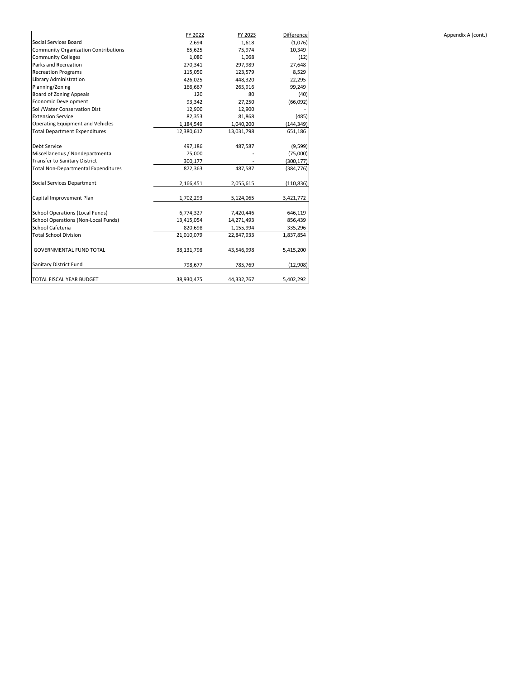|                                             | FY 2022    | FY 2023    | Difference |
|---------------------------------------------|------------|------------|------------|
| Social Services Board                       | 2,694      | 1,618      | (1,076)    |
| <b>Community Organization Contributions</b> | 65,625     | 75,974     | 10,349     |
| <b>Community Colleges</b>                   | 1.080      | 1.068      | (12)       |
| Parks and Recreation                        | 270,341    | 297,989    | 27,648     |
| <b>Recreation Programs</b>                  | 115,050    | 123,579    | 8,529      |
| Library Administration                      | 426,025    | 448,320    | 22,295     |
| Planning/Zoning                             | 166,667    | 265,916    | 99,249     |
| <b>Board of Zoning Appeals</b>              | 120        | 80         | (40)       |
| <b>Economic Development</b>                 | 93,342     | 27,250     | (66,092)   |
| Soil/Water Conservation Dist                | 12,900     | 12,900     |            |
| <b>Extension Service</b>                    | 82,353     | 81,868     | (485)      |
| Operating Equipment and Vehicles            | 1,184,549  | 1,040,200  | (144, 349) |
| <b>Total Department Expenditures</b>        | 12,380,612 | 13,031,798 | 651,186    |
| Debt Service                                | 497,186    | 487,587    | (9,599)    |
| Miscellaneous / Nondepartmental             | 75,000     |            | (75,000)   |
| Transfer to Sanitary District               | 300,177    |            | (300, 177) |
| <b>Total Non-Departmental Expenditures</b>  | 872,363    | 487,587    | (384, 776) |
| Social Services Department                  | 2,166,451  | 2,055,615  | (110, 836) |
| Capital Improvement Plan                    | 1,702,293  | 5,124,065  | 3,421,772  |
| School Operations (Local Funds)             | 6,774,327  | 7,420,446  | 646,119    |
| School Operations (Non-Local Funds)         | 13,415,054 | 14,271,493 | 856,439    |
| School Cafeteria                            | 820,698    | 1,155,994  | 335,296    |
| <b>Total School Division</b>                | 21,010,079 | 22,847,933 | 1,837,854  |
| <b>GOVERNMENTAL FUND TOTAL</b>              | 38,131,798 | 43,546,998 | 5,415,200  |
| Sanitary District Fund                      | 798,677    | 785,769    | (12,908)   |
| TOTAL FISCAL YEAR BUDGET                    | 38,930,475 | 44,332,767 | 5,402,292  |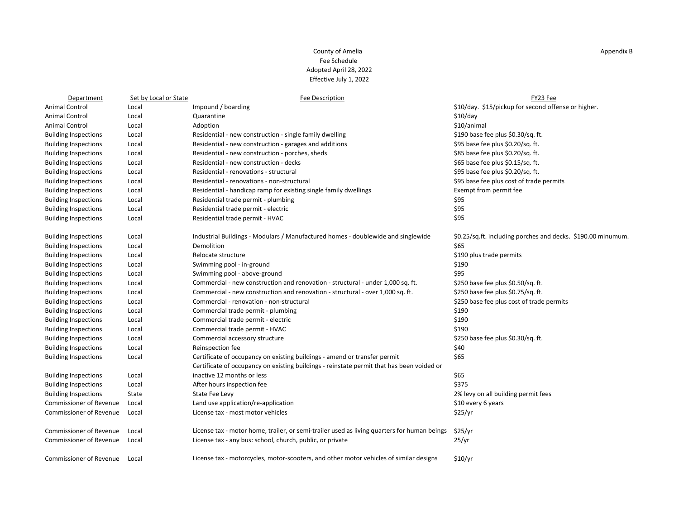### County of Amelia Appendix B Fee Schedule Adopted April 28, 2022 Effective July 1, 2022

| Department                     | Set by Local or State | Fee Description                                                                             | FY23 Fee                                                     |
|--------------------------------|-----------------------|---------------------------------------------------------------------------------------------|--------------------------------------------------------------|
| <b>Animal Control</b>          | Local                 | Impound / boarding                                                                          | \$10/day. \$15/pickup for second offense or higher.          |
| <b>Animal Control</b>          | Local                 | Quarantine                                                                                  | \$10/day                                                     |
| Animal Control                 | Local                 | Adoption                                                                                    | \$10/animal                                                  |
| <b>Building Inspections</b>    | Local                 | Residential - new construction - single family dwelling                                     | \$190 base fee plus \$0.30/sq. ft.                           |
| <b>Building Inspections</b>    | Local                 | Residential - new construction - garages and additions                                      | \$95 base fee plus \$0.20/sq. ft.                            |
| <b>Building Inspections</b>    | Local                 | Residential - new construction - porches, sheds                                             | \$85 base fee plus \$0.20/sq. ft.                            |
| <b>Building Inspections</b>    | Local                 | Residential - new construction - decks                                                      | \$65 base fee plus \$0.15/sq. ft.                            |
| <b>Building Inspections</b>    | Local                 | Residential - renovations - structural                                                      | \$95 base fee plus \$0.20/sq. ft.                            |
| <b>Building Inspections</b>    | Local                 | Residential - renovations - non-structural                                                  | \$95 base fee plus cost of trade permits                     |
| <b>Building Inspections</b>    | Local                 | Residential - handicap ramp for existing single family dwellings                            | Exempt from permit fee                                       |
| <b>Building Inspections</b>    | Local                 | Residential trade permit - plumbing                                                         | \$95                                                         |
| <b>Building Inspections</b>    | Local                 | Residential trade permit - electric                                                         | \$95                                                         |
| <b>Building Inspections</b>    | Local                 | Residential trade permit - HVAC                                                             | \$95                                                         |
| <b>Building Inspections</b>    | Local                 | Industrial Buildings - Modulars / Manufactured homes - doublewide and singlewide            | \$0.25/sq.ft. including porches and decks. \$190.00 minumum. |
| <b>Building Inspections</b>    | Local                 | Demolition                                                                                  | \$65                                                         |
| <b>Building Inspections</b>    | Local                 | Relocate structure                                                                          | \$190 plus trade permits                                     |
| <b>Building Inspections</b>    | Local                 | Swimming pool - in-ground                                                                   | \$190                                                        |
| <b>Building Inspections</b>    | Local                 | Swimming pool - above-ground                                                                | \$95                                                         |
| <b>Building Inspections</b>    | Local                 | Commercial - new construction and renovation - structural - under 1,000 sq. ft.             | \$250 base fee plus \$0.50/sq. ft.                           |
| <b>Building Inspections</b>    | Local                 | Commercial - new construction and renovation - structural - over 1,000 sq. ft.              | \$250 base fee plus \$0.75/sq. ft.                           |
| <b>Building Inspections</b>    | Local                 | Commercial - renovation - non-structural                                                    | \$250 base fee plus cost of trade permits                    |
| <b>Building Inspections</b>    | Local                 | Commercial trade permit - plumbing                                                          | \$190                                                        |
| <b>Building Inspections</b>    | Local                 | Commercial trade permit - electric                                                          | \$190                                                        |
| <b>Building Inspections</b>    | Local                 | Commercial trade permit - HVAC                                                              | \$190                                                        |
| <b>Building Inspections</b>    | Local                 | Commercial accessory structure                                                              | \$250 base fee plus \$0.30/sq. ft.                           |
| <b>Building Inspections</b>    | Local                 | Reinspection fee                                                                            | \$40                                                         |
| <b>Building Inspections</b>    | Local                 | Certificate of occupancy on existing buildings - amend or transfer permit                   | \$65                                                         |
|                                |                       | Certificate of occupancy on existing buildings - reinstate permit that has been voided or   |                                                              |
| <b>Building Inspections</b>    | Local                 | inactive 12 months or less                                                                  | \$65                                                         |
| <b>Building Inspections</b>    | Local                 | After hours inspection fee                                                                  | \$375                                                        |
| <b>Building Inspections</b>    | State                 | State Fee Levy                                                                              | 2% levy on all building permit fees                          |
| <b>Commissioner of Revenue</b> | Local                 | Land use application/re-application                                                         | \$10 every 6 years                                           |
| <b>Commissioner of Revenue</b> | Local                 | License tax - most motor vehicles                                                           | \$25/yr                                                      |
| <b>Commissioner of Revenue</b> | Local                 | License tax - motor home, trailer, or semi-trailer used as living quarters for human beings | \$25/yr                                                      |
| <b>Commissioner of Revenue</b> | Local                 | License tax - any bus: school, church, public, or private                                   | 25/yr                                                        |
| <b>Commissioner of Revenue</b> | Local                 | License tax - motorcycles, motor-scooters, and other motor vehicles of similar designs      | \$10/yr                                                      |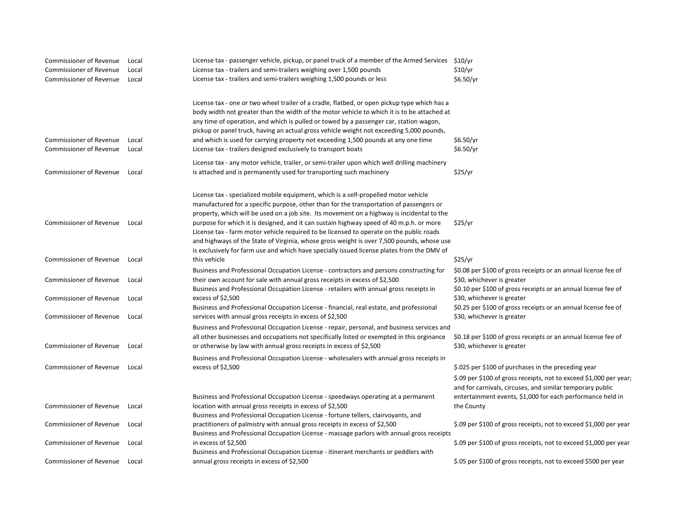| <b>Commissioner of Revenue</b><br><b>Commissioner of Revenue</b><br><b>Commissioner of Revenue</b> | Local<br>Local<br>Local | License tax - passenger vehicle, pickup, or panel truck of a member of the Armed Services \$10/yr<br>License tax - trailers and semi-trailers weighing over 1,500 pounds<br>License tax - trailers and semi-trailers weighing 1,500 pounds or less                                                                                                                                                                                                                                                                                                                                                                                                                            | \$10/yr<br>\$6.50/yr                                                                                                                                                                   |
|----------------------------------------------------------------------------------------------------|-------------------------|-------------------------------------------------------------------------------------------------------------------------------------------------------------------------------------------------------------------------------------------------------------------------------------------------------------------------------------------------------------------------------------------------------------------------------------------------------------------------------------------------------------------------------------------------------------------------------------------------------------------------------------------------------------------------------|----------------------------------------------------------------------------------------------------------------------------------------------------------------------------------------|
| <b>Commissioner of Revenue</b><br><b>Commissioner of Revenue</b>                                   | Local<br>Local          | License tax - one or two wheel trailer of a cradle, flatbed, or open pickup type which has a<br>body width not greater than the width of the motor vehicle to which it is to be attached at<br>any time of operation, and which is pulled or towed by a passenger car, station wagon,<br>pickup or panel truck, having an actual gross vehicle weight not exceeding 5,000 pounds,<br>and which is used for carrying property not exceeding 1,500 pounds at any one time<br>License tax - trailers designed exclusively to transport boats                                                                                                                                     | \$6.50/yr<br>\$6.50/yr                                                                                                                                                                 |
| Commissioner of Revenue Local                                                                      |                         | License tax - any motor vehicle, trailer, or semi-trailer upon which well drilling machinery<br>is attached and is permanently used for transporting such machinery                                                                                                                                                                                                                                                                                                                                                                                                                                                                                                           | \$25/yr                                                                                                                                                                                |
| <b>Commissioner of Revenue</b><br><b>Commissioner of Revenue</b>                                   | Local<br>Local          | License tax - specialized mobile equipment, which is a self-propelled motor vehicle<br>manufactured for a specific purpose, other than for the transportation of passengers or<br>property, which will be used on a job site. Its movement on a highway is incidental to the<br>purpose for which it is designed, and it can sustain highway speed of 40 m.p.h. or more<br>License tax - farm motor vehicle required to be licensed to operate on the public roads<br>and highways of the State of Virginia, whose gross weight is over 7,500 pounds, whose use<br>is exclusively for farm use and which have specially issued license plates from the DMV of<br>this vehicle | \$25/yr<br>\$25/yr                                                                                                                                                                     |
|                                                                                                    |                         | Business and Professional Occupation License - contractors and persons constructing for                                                                                                                                                                                                                                                                                                                                                                                                                                                                                                                                                                                       | \$0.08 per \$100 of gross receipts or an annual license fee of                                                                                                                         |
| <b>Commissioner of Revenue</b>                                                                     | Local                   | their own account for sale with annual gross receipts in excess of \$2,500<br>Business and Professional Occupation License - retailers with annual gross receipts in                                                                                                                                                                                                                                                                                                                                                                                                                                                                                                          | \$30, whichever is greater<br>\$0.10 per \$100 of gross receipts or an annual license fee of                                                                                           |
| <b>Commissioner of Revenue</b>                                                                     | Local                   | excess of $$2,500$<br>Business and Professional Occupation License - financial, real estate, and professional                                                                                                                                                                                                                                                                                                                                                                                                                                                                                                                                                                 | \$30, whichever is greater<br>\$0.25 per \$100 of gross receipts or an annual license fee of                                                                                           |
| <b>Commissioner of Revenue</b>                                                                     | Local                   | services with annual gross receipts in excess of \$2,500                                                                                                                                                                                                                                                                                                                                                                                                                                                                                                                                                                                                                      | \$30, whichever is greater                                                                                                                                                             |
| <b>Commissioner of Revenue</b>                                                                     | Local                   | Business and Professional Occupation License - repair, personal, and business services and<br>all other businesses and occupations not specifically listed or exempted in this orginance<br>or otherwise by law with annual gross receipts in excess of \$2,500                                                                                                                                                                                                                                                                                                                                                                                                               | \$0.18 per \$100 of gross receipts or an annual license fee of<br>\$30, whichever is greater                                                                                           |
|                                                                                                    |                         | Business and Professional Occupation License - wholesalers with annual gross receipts in                                                                                                                                                                                                                                                                                                                                                                                                                                                                                                                                                                                      |                                                                                                                                                                                        |
| <b>Commissioner of Revenue</b>                                                                     | Local                   | excess of \$2,500                                                                                                                                                                                                                                                                                                                                                                                                                                                                                                                                                                                                                                                             | \$.025 per \$100 of purchases in the preceding year<br>\$.09 per \$100 of gross receipts, not to exceed \$1,000 per year;<br>and for carnivals, circuses, and similar temporary public |
| <b>Commissioner of Revenue</b>                                                                     | Local                   | Business and Professional Occupation License - speedways operating at a permanent<br>location with annual gross receipts in excess of \$2,500<br>Business and Professional Occupation License - fortune tellers, clairvoyants, and                                                                                                                                                                                                                                                                                                                                                                                                                                            | entertainment events, \$1,000 for each performance held in<br>the County                                                                                                               |
| <b>Commissioner of Revenue</b>                                                                     | Local                   | practitioners of palmistry with annual gross receipts in excess of \$2,500                                                                                                                                                                                                                                                                                                                                                                                                                                                                                                                                                                                                    | \$.09 per \$100 of gross receipts, not to exceed \$1,000 per year                                                                                                                      |
| <b>Commissioner of Revenue</b>                                                                     | Local                   | Business and Professional Occupation License - massage parlors with annual gross receipts<br>in excess of \$2,500<br>Business and Professional Occupation License - itinerant merchants or peddlers with                                                                                                                                                                                                                                                                                                                                                                                                                                                                      | \$.09 per \$100 of gross receipts, not to exceed \$1,000 per year                                                                                                                      |
| <b>Commissioner of Revenue</b>                                                                     | Local                   | annual gross receipts in excess of \$2,500                                                                                                                                                                                                                                                                                                                                                                                                                                                                                                                                                                                                                                    | \$.05 per \$100 of gross receipts, not to exceed \$500 per year                                                                                                                        |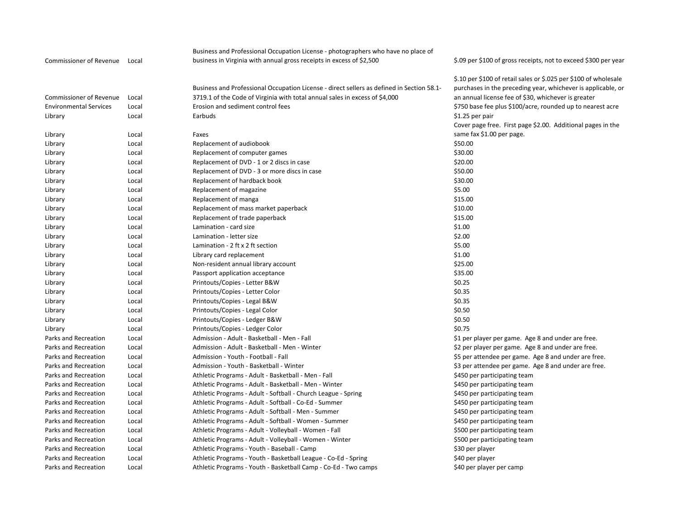|                                |       | Business and Professional Occupation License - photographers who have no place of         |                                                                  |
|--------------------------------|-------|-------------------------------------------------------------------------------------------|------------------------------------------------------------------|
| <b>Commissioner of Revenue</b> | Local | business in Virginia with annual gross receipts in excess of \$2,500                      | \$.09 per \$100 of gross receipts, not to exceed \$300 per year  |
|                                |       |                                                                                           | \$.10 per \$100 of retail sales or \$.025 per \$100 of wholesale |
|                                |       | Business and Professional Occupation License - direct sellers as defined in Section 58.1- | purchases in the preceding year, whichever is applicable, or     |
| <b>Commissioner of Revenue</b> | Local | 3719.1 of the Code of Virginia with total annual sales in excess of \$4,000               | an annual license fee of \$30, whichever is greater              |
| <b>Environmental Services</b>  | Local | Erosion and sediment control fees                                                         | \$750 base fee plus \$100/acre, rounded up to nearest acre       |
| Library                        | Local | Earbuds                                                                                   | \$1.25 per pair                                                  |
|                                |       |                                                                                           | Cover page free. First page \$2.00. Additional pages in the      |
| Library                        | Local | Faxes                                                                                     | same fax \$1.00 per page.                                        |
| Library                        | Local | Replacement of audiobook                                                                  | \$50.00                                                          |
| Library                        | Local | Replacement of computer games                                                             | \$30.00                                                          |
| Library                        | Local | Replacement of DVD - 1 or 2 discs in case                                                 | \$20.00                                                          |
| Library                        | Local | Replacement of DVD - 3 or more discs in case                                              | \$50.00                                                          |
| Library                        | Local | Replacement of hardback book                                                              | \$30.00                                                          |
| Library                        | Local | Replacement of magazine                                                                   | \$5.00                                                           |
| Library                        | Local | Replacement of manga                                                                      | \$15.00                                                          |
| Library                        | Local | Replacement of mass market paperback                                                      | \$10.00                                                          |
| Library                        | Local | Replacement of trade paperback                                                            | \$15.00                                                          |
| Library                        | Local | Lamination - card size                                                                    | \$1.00                                                           |
| Library                        | Local | Lamination - letter size                                                                  | \$2.00                                                           |
| Library                        | Local | Lamination - 2 ft x 2 ft section                                                          | \$5.00                                                           |
| Library                        | Local | Library card replacement                                                                  | \$1.00                                                           |
| Library                        | Local | Non-resident annual library account                                                       | \$25.00                                                          |
| Library                        | Local | Passport application acceptance                                                           | \$35.00                                                          |
| Library                        | Local | Printouts/Copies - Letter B&W                                                             | \$0.25                                                           |
| Library                        | Local | Printouts/Copies - Letter Color                                                           | \$0.35                                                           |
| Library                        | Local | Printouts/Copies - Legal B&W                                                              | \$0.35                                                           |
| Library                        | Local | Printouts/Copies - Legal Color                                                            | \$0.50                                                           |
| Library                        | Local | Printouts/Copies - Ledger B&W                                                             | \$0.50                                                           |
| Library                        | Local | Printouts/Copies - Ledger Color                                                           | \$0.75                                                           |
| Parks and Recreation           | Local | Admission - Adult - Basketball - Men - Fall                                               | \$1 per player per game. Age 8 and under are free.               |
| Parks and Recreation           | Local | Admission - Adult - Basketball - Men - Winter                                             | \$2 per player per game. Age 8 and under are free.               |
| Parks and Recreation           | Local | Admission - Youth - Football - Fall                                                       | \$5 per attendee per game. Age 8 and under are free.             |
| Parks and Recreation           | Local | Admission - Youth - Basketball - Winter                                                   | \$3 per attendee per game. Age 8 and under are free.             |
| Parks and Recreation           | Local | Athletic Programs - Adult - Basketball - Men - Fall                                       | \$450 per participating team                                     |
| Parks and Recreation           | Local | Athletic Programs - Adult - Basketball - Men - Winter                                     | \$450 per participating team                                     |
| Parks and Recreation           | Local | Athletic Programs - Adult - Softball - Church League - Spring                             | \$450 per participating team                                     |
| Parks and Recreation           | Local | Athletic Programs - Adult - Softball - Co-Ed - Summer                                     | \$450 per participating team                                     |
| Parks and Recreation           | Local | Athletic Programs - Adult - Softball - Men - Summer                                       | \$450 per participating team                                     |
| Parks and Recreation           | Local | Athletic Programs - Adult - Softball - Women - Summer                                     | \$450 per participating team                                     |
| Parks and Recreation           | Local | Athletic Programs - Adult - Volleyball - Women - Fall                                     | \$500 per participating team                                     |
| Parks and Recreation           | Local | Athletic Programs - Adult - Volleyball - Women - Winter                                   | \$500 per participating team                                     |
| Parks and Recreation           | Local | Athletic Programs - Youth - Baseball - Camp                                               | \$30 per player                                                  |
| Parks and Recreation           | Local | Athletic Programs - Youth - Basketball League - Co-Ed - Spring                            | \$40 per player                                                  |
| Parks and Recreation           | Local | Athletic Programs - Youth - Basketball Camp - Co-Ed - Two camps                           | \$40 per player per camp                                         |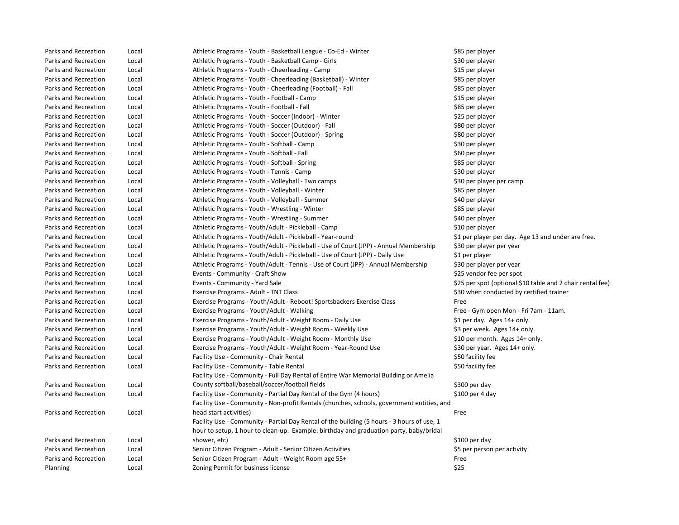| Parks and Recreation | Local | Athletic Programs - Youth - Basketball League - Co-Ed - Winter                             | \$85 per player                                            |
|----------------------|-------|--------------------------------------------------------------------------------------------|------------------------------------------------------------|
| Parks and Recreation | Local | Athletic Programs - Youth - Basketball Camp - Girls                                        | \$30 per player                                            |
| Parks and Recreation | Local | Athletic Programs - Youth - Cheerleading - Camp                                            | \$15 per player                                            |
| Parks and Recreation | Local | Athletic Programs - Youth - Cheerleading (Basketball) - Winter                             | \$85 per player                                            |
| Parks and Recreation | Local | Athletic Programs - Youth - Cheerleading (Football) - Fall                                 | \$85 per player                                            |
| Parks and Recreation | Local | Athletic Programs - Youth - Football - Camp                                                | \$15 per player                                            |
| Parks and Recreation | Local | Athletic Programs - Youth - Football - Fall                                                | \$85 per player                                            |
| Parks and Recreation | Local | Athletic Programs - Youth - Soccer (Indoor) - Winter                                       | \$25 per player                                            |
| Parks and Recreation | Local | Athletic Programs - Youth - Soccer (Outdoor) - Fall                                        | \$80 per player                                            |
| Parks and Recreation | Local | Athletic Programs - Youth - Soccer (Outdoor) - Spring                                      | \$80 per player                                            |
| Parks and Recreation | Local | Athletic Programs - Youth - Softball - Camp                                                | \$30 per player                                            |
| Parks and Recreation | Local | Athletic Programs - Youth - Softball - Fall                                                | \$60 per player                                            |
| Parks and Recreation | Local | Athletic Programs - Youth - Softball - Spring                                              | \$85 per player                                            |
| Parks and Recreation | Local | Athletic Programs - Youth - Tennis - Camp                                                  | \$30 per player                                            |
| Parks and Recreation | Local | Athletic Programs - Youth - Volleyball - Two camps                                         | \$30 per player per camp                                   |
| Parks and Recreation | Local | Athletic Programs - Youth - Volleyball - Winter                                            | \$85 per player                                            |
| Parks and Recreation | Local | Athletic Programs - Youth - Volleyball - Summer                                            | \$40 per player                                            |
| Parks and Recreation | Local | Athletic Programs - Youth - Wrestling - Winter                                             | \$85 per player                                            |
| Parks and Recreation | Local | Athletic Programs - Youth - Wrestling - Summer                                             | \$40 per player                                            |
| Parks and Recreation | Local | Athletic Programs - Youth/Adult - Pickleball - Camp                                        | \$10 per player                                            |
| Parks and Recreation | Local | Athletic Programs - Youth/Adult - Pickleball - Year-round                                  | \$1 per player per day. Age 13 and under are free.         |
| Parks and Recreation | Local | Athletic Programs - Youth/Adult - Pickleball - Use of Court (JPP) - Annual Membership      | \$30 per player per year                                   |
| Parks and Recreation | Local | Athletic Programs - Youth/Adult - Pickleball - Use of Court (JPP) - Daily Use              | \$1 per player                                             |
| Parks and Recreation | Local | Athletic Programs - Youth/Adult - Tennis - Use of Court (JPP) - Annual Membership          | \$30 per player per year                                   |
| Parks and Recreation | Local | Events - Community - Craft Show                                                            | \$25 vendor fee per spot                                   |
| Parks and Recreation | Local | Events - Community - Yard Sale                                                             | \$25 per spot (optional \$10 table and 2 chair rental fee) |
| Parks and Recreation | Local | Exercise Programs - Adult - TNT Class                                                      | \$30 when conducted by certified trainer                   |
| Parks and Recreation | Local | Exercise Programs - Youth/Adult - Reboot! Sportsbackers Exercise Class                     | Free                                                       |
| Parks and Recreation | Local | Exercise Programs - Youth/Adult - Walking                                                  | Free - Gym open Mon - Fri 7am - 11am.                      |
| Parks and Recreation | Local | Exercise Programs - Youth/Adult - Weight Room - Daily Use                                  | \$1 per day. Ages 14+ only.                                |
| Parks and Recreation | Local | Exercise Programs - Youth/Adult - Weight Room - Weekly Use                                 | \$3 per week. Ages 14+ only.                               |
| Parks and Recreation | Local | Exercise Programs - Youth/Adult - Weight Room - Monthly Use                                | \$10 per month. Ages 14+ only.                             |
| Parks and Recreation | Local | Exercise Programs - Youth/Adult - Weight Room - Year-Round Use                             | \$30 per year. Ages 14+ only.                              |
| Parks and Recreation | Local | Facility Use - Community - Chair Rental                                                    | \$50 facility fee                                          |
| Parks and Recreation | Local | Facility Use - Community - Table Rental                                                    | \$50 facility fee                                          |
|                      |       | Facility Use - Community - Full Day Rental of Entire War Memorial Building or Amelia       |                                                            |
| Parks and Recreation | Local | County softball/baseball/soccer/football fields                                            | \$300 per day                                              |
| Parks and Recreation | Local | Facility Use - Community - Partial Day Rental of the Gym (4 hours)                         | $$100$ per 4 day                                           |
|                      |       | Facility Use - Community - Non-profit Rentals (churches, schools, government entities, and |                                                            |
| Parks and Recreation | Local | head start activities)                                                                     | Free                                                       |
|                      |       | Facility Use - Community - Partial Day Rental of the building (5 hours - 3 hours of use, 1 |                                                            |
|                      |       | hour to setup, 1 hour to clean-up. Example: birthday and graduation party, baby/bridal     |                                                            |
| Parks and Recreation | Local | shower, etc)                                                                               | \$100 per day                                              |
| Parks and Recreation | Local | Senior Citizen Program - Adult - Senior Citizen Activities                                 | \$5 per person per activity                                |
| Parks and Recreation | Local | Senior Citizen Program - Adult - Weight Room age 55+                                       | Free                                                       |
| Planning             | Local | Zoning Permit for business license                                                         | \$25                                                       |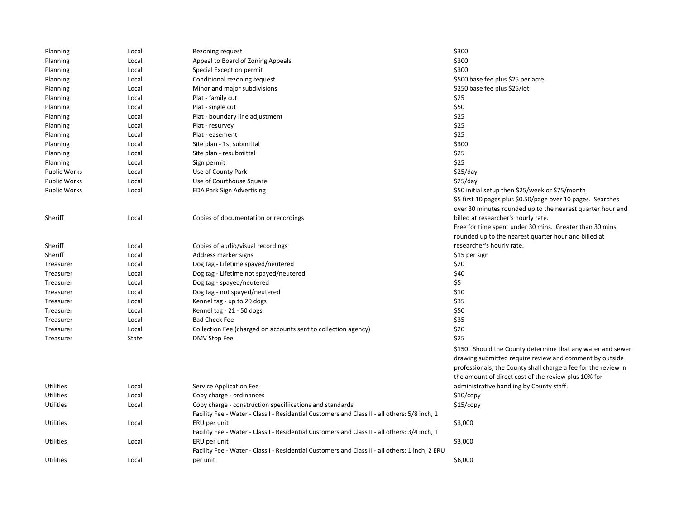| Planning            | Local | Rezoning request                                                                                | \$300                                                                                                                                                                                                                                            |
|---------------------|-------|-------------------------------------------------------------------------------------------------|--------------------------------------------------------------------------------------------------------------------------------------------------------------------------------------------------------------------------------------------------|
| Planning            | Local | Appeal to Board of Zoning Appeals                                                               | \$300                                                                                                                                                                                                                                            |
| Planning            | Local | Special Exception permit                                                                        | \$300                                                                                                                                                                                                                                            |
| Planning            | Local | Conditional rezoning request                                                                    | \$500 base fee plus \$25 per acre                                                                                                                                                                                                                |
| Planning            | Local | Minor and major subdivisions                                                                    | \$250 base fee plus \$25/lot                                                                                                                                                                                                                     |
| Planning            | Local | Plat - family cut                                                                               | \$25                                                                                                                                                                                                                                             |
| Planning            | Local | Plat - single cut                                                                               | \$50                                                                                                                                                                                                                                             |
| Planning            | Local | Plat - boundary line adjustment                                                                 | \$25                                                                                                                                                                                                                                             |
| Planning            | Local | Plat - resurvey                                                                                 | \$25                                                                                                                                                                                                                                             |
| Planning            | Local | Plat - easement                                                                                 | \$25                                                                                                                                                                                                                                             |
| Planning            | Local | Site plan - 1st submittal                                                                       | \$300                                                                                                                                                                                                                                            |
| Planning            | Local | Site plan - resubmittal                                                                         | \$25                                                                                                                                                                                                                                             |
| Planning            | Local | Sign permit                                                                                     | \$25                                                                                                                                                                                                                                             |
| <b>Public Works</b> | Local | Use of County Park                                                                              | \$25/day                                                                                                                                                                                                                                         |
| <b>Public Works</b> | Local | Use of Courthouse Square                                                                        | \$25/day                                                                                                                                                                                                                                         |
| <b>Public Works</b> | Local | <b>EDA Park Sign Advertising</b>                                                                | \$50 initial setup then \$25/week or \$75/month                                                                                                                                                                                                  |
|                     |       |                                                                                                 | \$5 first 10 pages plus \$0.50/page over 10 pages. Searches                                                                                                                                                                                      |
|                     |       |                                                                                                 | over 30 minutes rounded up to the nearest quarter hour and                                                                                                                                                                                       |
| Sheriff             | Local | Copies of documentation or recordings                                                           | billed at researcher's hourly rate.                                                                                                                                                                                                              |
|                     |       |                                                                                                 | Free for time spent under 30 mins. Greater than 30 mins                                                                                                                                                                                          |
|                     |       |                                                                                                 | rounded up to the nearest quarter hour and billed at                                                                                                                                                                                             |
| Sheriff             | Local | Copies of audio/visual recordings                                                               | researcher's hourly rate.                                                                                                                                                                                                                        |
| Sheriff             | Local | Address marker signs                                                                            | \$15 per sign                                                                                                                                                                                                                                    |
| Treasurer           | Local | Dog tag - Lifetime spayed/neutered                                                              | \$20                                                                                                                                                                                                                                             |
| Treasurer           | Local | Dog tag - Lifetime not spayed/neutered                                                          | \$40                                                                                                                                                                                                                                             |
| Treasurer           | Local | Dog tag - spayed/neutered                                                                       | \$5                                                                                                                                                                                                                                              |
| Treasurer           | Local | Dog tag - not spayed/neutered                                                                   | \$10                                                                                                                                                                                                                                             |
| Treasurer           | Local | Kennel tag - up to 20 dogs                                                                      | \$35                                                                                                                                                                                                                                             |
| Treasurer           | Local | Kennel tag - 21 - 50 dogs                                                                       | \$50                                                                                                                                                                                                                                             |
| Treasurer           | Local | <b>Bad Check Fee</b>                                                                            | \$35                                                                                                                                                                                                                                             |
| Treasurer           | Local | Collection Fee (charged on accounts sent to collection agency)                                  | \$20                                                                                                                                                                                                                                             |
| Treasurer           | State | DMV Stop Fee                                                                                    | \$25                                                                                                                                                                                                                                             |
|                     |       |                                                                                                 | \$150. Should the County determine that any water and sewer<br>drawing submitted require review and comment by outside<br>professionals, the County shall charge a fee for the review in<br>the amount of direct cost of the review plus 10% for |
| Utilities           | Local | Service Application Fee                                                                         | administrative handling by County staff.                                                                                                                                                                                                         |
| Utilities           | Local | Copy charge - ordinances                                                                        | \$10/copy                                                                                                                                                                                                                                        |
| Utilities           | Local | Copy charge - construction specifiications and standards                                        | \$15/copy                                                                                                                                                                                                                                        |
|                     |       | Facility Fee - Water - Class I - Residential Customers and Class II - all others: 5/8 inch, 1   |                                                                                                                                                                                                                                                  |
| Utilities           | Local | ERU per unit                                                                                    | \$3,000                                                                                                                                                                                                                                          |
|                     |       | Facility Fee - Water - Class I - Residential Customers and Class II - all others: 3/4 inch, 1   |                                                                                                                                                                                                                                                  |
| <b>Utilities</b>    | Local | ERU per unit                                                                                    | \$3,000                                                                                                                                                                                                                                          |
|                     |       | Facility Fee - Water - Class I - Residential Customers and Class II - all others: 1 inch, 2 ERU |                                                                                                                                                                                                                                                  |
| <b>Utilities</b>    | Local | per unit                                                                                        | \$6,000                                                                                                                                                                                                                                          |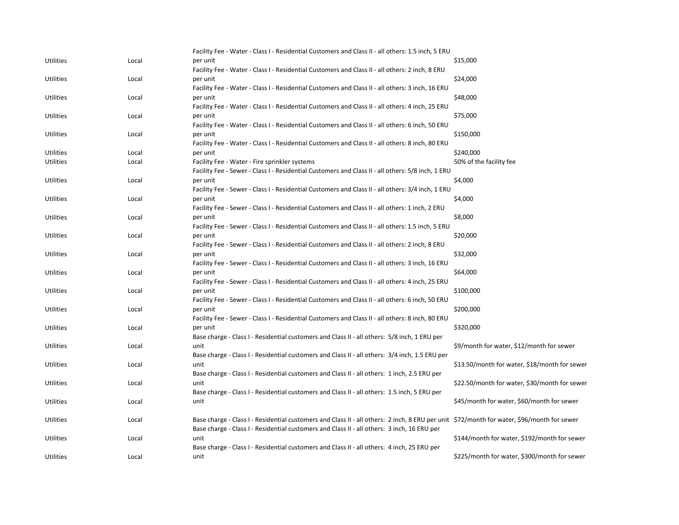|           |       | Facility Fee - Water - Class I - Residential Customers and Class II - all others: 1.5 inch, 5 ERU                                          |                                               |
|-----------|-------|--------------------------------------------------------------------------------------------------------------------------------------------|-----------------------------------------------|
| Utilities | Local | per unit                                                                                                                                   | \$15,000                                      |
|           |       | Facility Fee - Water - Class I - Residential Customers and Class II - all others: 2 inch, 8 ERU                                            |                                               |
| Utilities | Local | per unit                                                                                                                                   | \$24,000                                      |
|           |       | Facility Fee - Water - Class I - Residential Customers and Class II - all others: 3 inch, 16 ERU                                           |                                               |
| Utilities | Local | per unit                                                                                                                                   | \$48,000                                      |
|           |       | Facility Fee - Water - Class I - Residential Customers and Class II - all others: 4 inch, 25 ERU                                           |                                               |
| Utilities | Local | per unit                                                                                                                                   | \$75,000                                      |
|           |       | Facility Fee - Water - Class I - Residential Customers and Class II - all others: 6 inch, 50 ERU                                           |                                               |
| Utilities | Local | per unit                                                                                                                                   | \$150,000                                     |
|           |       | Facility Fee - Water - Class I - Residential Customers and Class II - all others: 8 inch, 80 ERU                                           |                                               |
| Utilities | Local | per unit                                                                                                                                   | \$240,000                                     |
| Utilities | Local | Facility Fee - Water - Fire sprinkler systems                                                                                              | 50% of the facility fee                       |
|           |       | Facility Fee - Sewer - Class I - Residential Customers and Class II - all others: 5/8 inch, 1 ERU                                          |                                               |
| Utilities | Local | per unit                                                                                                                                   | \$4,000                                       |
|           |       | Facility Fee - Sewer - Class I - Residential Customers and Class II - all others: 3/4 inch, 1 ERU                                          |                                               |
| Utilities | Local | per unit                                                                                                                                   | \$4,000                                       |
|           |       | Facility Fee - Sewer - Class I - Residential Customers and Class II - all others: 1 inch, 2 ERU                                            |                                               |
| Utilities | Local | per unit                                                                                                                                   | \$8,000                                       |
|           |       | Facility Fee - Sewer - Class I - Residential Customers and Class II - all others: 1.5 inch, 5 ERU                                          |                                               |
| Utilities | Local | per unit                                                                                                                                   | \$20,000                                      |
|           |       | Facility Fee - Sewer - Class I - Residential Customers and Class II - all others: 2 inch, 8 ERU                                            |                                               |
| Utilities | Local | per unit                                                                                                                                   | \$32,000                                      |
|           |       | Facility Fee - Sewer - Class I - Residential Customers and Class II - all others: 3 inch, 16 ERU                                           |                                               |
| Utilities | Local | per unit                                                                                                                                   | \$64,000                                      |
|           |       | Facility Fee - Sewer - Class I - Residential Customers and Class II - all others: 4 inch, 25 ERU                                           |                                               |
| Utilities | Local | per unit                                                                                                                                   | \$100,000                                     |
|           |       | Facility Fee - Sewer - Class I - Residential Customers and Class II - all others: 6 inch, 50 ERU                                           |                                               |
| Utilities | Local | per unit                                                                                                                                   | \$200,000                                     |
|           |       |                                                                                                                                            |                                               |
|           |       | Facility Fee - Sewer - Class I - Residential Customers and Class II - all others: 8 inch, 80 ERU                                           | \$320,000                                     |
| Utilities | Local | per unit                                                                                                                                   |                                               |
|           |       | Base charge - Class I - Residential customers and Class II - all others: 5/8 inch, 1 ERU per                                               |                                               |
| Utilities | Local | unit                                                                                                                                       | \$9/month for water, \$12/month for sewer     |
|           |       | Base charge - Class I - Residential customers and Class II - all others: 3/4 inch, 1.5 ERU per                                             |                                               |
| Utilities | Local | unit                                                                                                                                       | \$13.50/month for water, \$18/month for sewer |
|           |       | Base charge - Class I - Residential customers and Class II - all others: 1 inch, 2.5 ERU per                                               |                                               |
| Utilities | Local | unit                                                                                                                                       | \$22.50/month for water, \$30/month for sewer |
|           |       | Base charge - Class I - Residential customers and Class II - all others: 1.5 inch, 5 ERU per                                               |                                               |
| Utilities | Local | unit                                                                                                                                       | \$45/month for water, \$60/month for sewer    |
|           |       |                                                                                                                                            |                                               |
| Utilities | Local | Base charge - Class I - Residential customers and Class II - all others: 2 inch, 8 ERU per unit \$72/month for water, \$96/month for sewer |                                               |
|           |       | Base charge - Class I - Residential customers and Class II - all others: 3 inch, 16 ERU per                                                |                                               |
| Utilities | Local | unit                                                                                                                                       | \$144/month for water, \$192/month for sewer  |
|           |       | Base charge - Class I - Residential customers and Class II - all others: 4 inch, 25 ERU per                                                |                                               |
| Utilities | Local | unit                                                                                                                                       | \$225/month for water, \$300/month for sewer  |